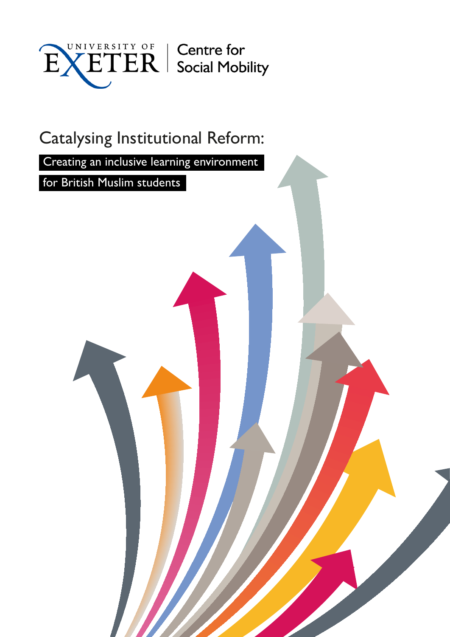

# Catalysing Institutional Reform:

Creating an inclusive learning environment

for British Muslim students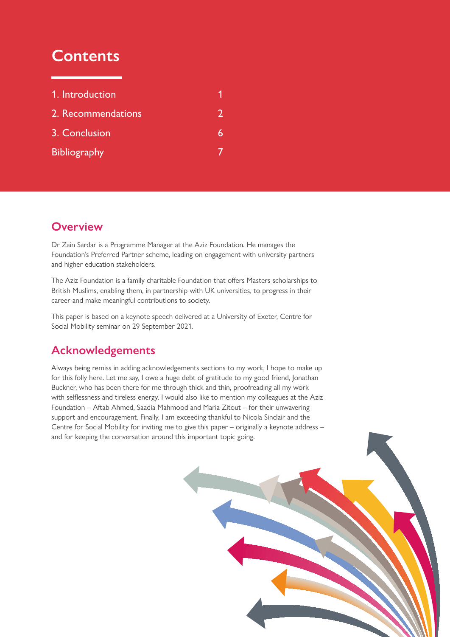## **Contents**

| 1. Introduction     |  |
|---------------------|--|
| 2. Recommendations  |  |
| 3. Conclusion       |  |
| <b>Bibliography</b> |  |

#### **Overview**

Dr Zain Sardar is a Programme Manager at the Aziz Foundation. He manages the Foundation's Preferred Partner scheme, leading on engagement with university partners and higher education stakeholders.

The Aziz Foundation is a family charitable Foundation that offers Masters scholarships to British Muslims, enabling them, in partnership with UK universities, to progress in their career and make meaningful contributions to society.

This paper is based on a keynote speech delivered at a University of Exeter, Centre for Social Mobility seminar on 29 September 2021.

#### **Acknowledgements**

Always being remiss in adding acknowledgements sections to my work, I hope to make up for this folly here. Let me say, I owe a huge debt of gratitude to my good friend, Jonathan Buckner, who has been there for me through thick and thin, proofreading all my work with selflessness and tireless energy. I would also like to mention my colleagues at the Aziz Foundation – Aftab Ahmed, Saadia Mahmood and Maria Zitout – for their unwavering support and encouragement. Finally, I am exceeding thankful to Nicola Sinclair and the Centre for Social Mobility for inviting me to give this paper – originally a keynote address – and for keeping the conversation around this important topic going.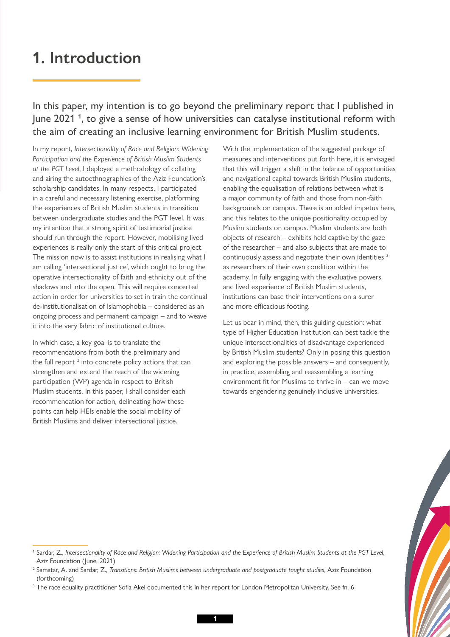### <span id="page-2-0"></span>**1. Introduction**

#### In this paper, my intention is to go beyond the preliminary report that I published in June 2021 **<sup>1</sup>** , to give a sense of how universities can catalyse institutional reform with the aim of creating an inclusive learning environment for British Muslim students.

In my report, *Intersectionality of Race and Religion: Widening Participation and the Experience of British Muslim Students at the PGT Level*, I deployed a methodology of collating and airing the autoethnographies of the Aziz Foundation's scholarship candidates. In many respects, I participated in a careful and necessary listening exercise, platforming the experiences of British Muslim students in transition between undergraduate studies and the PGT level. It was my intention that a strong spirit of testimonial justice should run through the report. However, mobilising lived experiences is really only the start of this critical project. The mission now is to assist institutions in realising what I am calling 'intersectional justice', which ought to bring the operative intersectionality of faith and ethnicity out of the shadows and into the open. This will require concerted action in order for universities to set in train the continual de-institutionalisation of Islamophobia – considered as an ongoing process and permanent campaign – and to weave it into the very fabric of institutional culture.

In which case, a key goal is to translate the recommendations from both the preliminary and the full report  $2$  into concrete policy actions that can strengthen and extend the reach of the widening participation (WP) agenda in respect to British Muslim students. In this paper, I shall consider each recommendation for action, delineating how these points can help HEIs enable the social mobility of British Muslims and deliver intersectional justice.

With the implementation of the suggested package of measures and interventions put forth here, it is envisaged that this will trigger a shift in the balance of opportunities and navigational capital towards British Muslim students, enabling the equalisation of relations between what is a major community of faith and those from non-faith backgrounds on campus. There is an added impetus here, and this relates to the unique positionality occupied by Muslim students on campus. Muslim students are both objects of research – exhibits held captive by the gaze of the researcher – and also subjects that are made to continuously assess and negotiate their own identities<sup>3</sup> as researchers of their own condition within the academy. In fully engaging with the evaluative powers and lived experience of British Muslim students, institutions can base their interventions on a surer and more efficacious footing.

Let us bear in mind, then, this guiding question: what type of Higher Education Institution can best tackle the unique intersectionalities of disadvantage experienced by British Muslim students? Only in posing this question and exploring the possible answers – and consequently, in practice, assembling and reassembling a learning environment fit for Muslims to thrive in – can we move towards engendering genuinely inclusive universities.

<sup>1</sup> Sardar, Z., *Intersectionality of Race and Religion: Widening Participation and the Experience of British Muslim Students at the PGT Level*, Aziz Foundation (June, 2021)

<sup>&</sup>lt;sup>2</sup> Samatar, A. and Sardar, Z., *Transitions: British Muslims between undergraduate and postgraduate taught studies*, Aziz Foundation (forthcoming)

 $^3$  The race equality practitioner Sofia Akel documented this in her report for London Metropolitan University. See fn. 6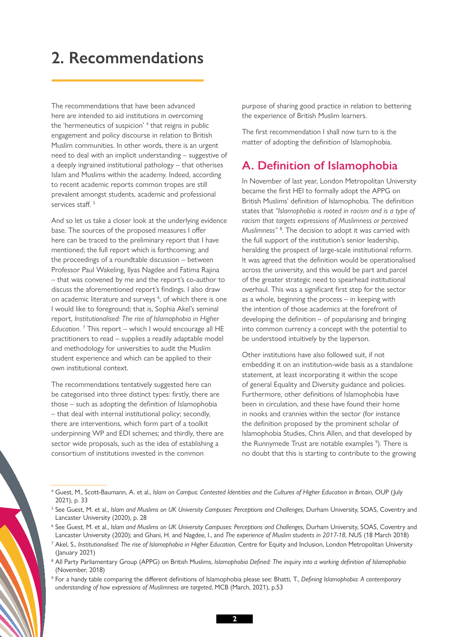## <span id="page-3-0"></span>**2. Recommendations**

The recommendations that have been advanced here are intended to aid institutions in overcoming the 'hermeneutics of suspicion' <sup>4</sup> that reigns in public engagement and policy discourse in relation to British Muslim communities. In other words, there is an urgent need to deal with an implicit understanding – suggestive of a deeply ingrained institutional pathology – that otherises Islam and Muslims within the academy. Indeed, according to recent academic reports common tropes are still prevalent amongst students, academic and professional services staff.<sup>5</sup>

And so let us take a closer look at the underlying evidence base. The sources of the proposed measures I offer here can be traced to the preliminary report that I have mentioned; the full report which is forthcoming; and the proceedings of a roundtable discussion – between Professor Paul Wakeling, Ilyas Nagdee and Fatima Rajina – that was convened by me and the report's co-author to discuss the aforementioned report's findings. I also draw on academic literature and surveys <sup>6</sup>, of which there is one I would like to foreground; that is, Sophia Akel's seminal report, *Institutionalised: The rise of Islamophobia in Higher Education*. 7 This report – which I would encourage all HE practitioners to read – supplies a readily adaptable model and methodology for universities to audit the Muslim student experience and which can be applied to their own institutional context.

The recommendations tentatively suggested here can be categorised into three distinct types: firstly, there are those – such as adopting the definition of Islamophobia – that deal with internal institutional policy; secondly, there are interventions, which form part of a toolkit underpinning WP and EDI schemes; and thirdly, there are sector wide proposals, such as the idea of establishing a consortium of institutions invested in the common

purpose of sharing good practice in relation to bettering the experience of British Muslim learners.

The first recommendation I shall now turn to is the matter of adopting the definition of Islamophobia.

#### **A. Definition of Islamophobia**

In November of last year, London Metropolitan University became the first HEI to formally adopt the APPG on British Muslims' definition of Islamophobia. The definition states that *"Islamophobia is rooted in racism and is a type of racism that targets expressions of Muslimness or perceived Muslimness"* <sup>8</sup> . The decision to adopt it was carried with the full support of the institution's senior leadership, heralding the prospect of large-scale institutional reform. It was agreed that the definition would be operationalised across the university, and this would be part and parcel of the greater strategic need to spearhead institutional overhaul. This was a significant first step for the sector as a whole, beginning the process – in keeping with the intention of those academics at the forefront of developing the definition – of popularising and bringing into common currency a concept with the potential to be understood intuitively by the layperson.

Other institutions have also followed suit, if not embedding it on an institution-wide basis as a standalone statement, at least incorporating it within the scope of general Equality and Diversity guidance and policies. Furthermore, other definitions of Islamophobia have been in circulation, and these have found their home in nooks and crannies within the sector (for instance the definition proposed by the prominent scholar of Islamophobia Studies, Chris Allen, and that developed by the Runnymede Trust are notable examples <sup>9</sup>). There is no doubt that this is starting to contribute to the growing

<sup>9</sup> For a handy table comparing the different definitions of Islamophobia please see: Bhatti, T., *Defining Islamophobia: A contemporary understanding of how expressions of Muslimness are targeted*, MCB (March, 2021), p.53

<sup>4</sup> Guest, M., Scott-Baumann, A. et al., *Islam on Campus: Contested Identities and the Cultures of Higher Education in Britain*, OUP (July 2021), p. 33

<sup>5</sup> See Guest, M. et al., *Islam and Muslims on UK University Campuses: Perceptions and Challenges*, Durham University, SOAS, Coventry and Lancaster University (2020), p. 28

<sup>6</sup> See Guest, M. et al., *Islam and Muslims on UK University Campuses: Perceptions and Challenges*, Durham University, SOAS, Coventry and Lancaster University (2020); and Ghani, H. and Nagdee, I., and *The experience of Muslim students in 2017-18*, NUS (18 March 2018)

<sup>7</sup> Akel, S., *Institutionalised: The rise of Islamophobia in Higher Education*, Centre for Equity and Inclusion, London Metropolitan University (January 2021)

<sup>&</sup>lt;sup>8</sup> All Party Parliamentary Group (APPG) on British Muslims, Islamophobia Defined: The inquiry into a working definition of Islamophobia (November, 2018)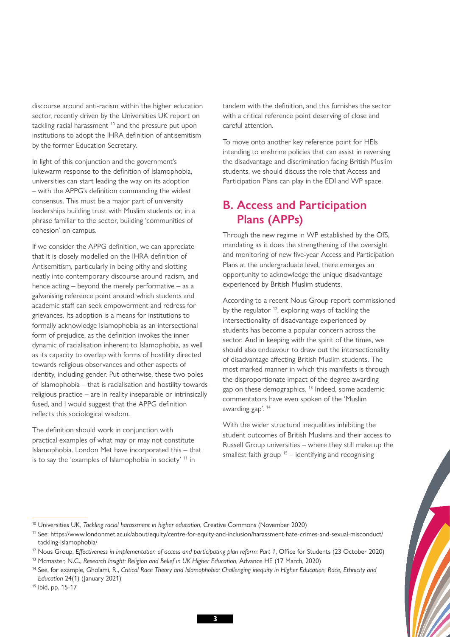discourse around anti-racism within the higher education sector, recently driven by the Universities UK report on tackling racial harassment<sup>10</sup> and the pressure put upon institutions to adopt the IHRA definition of antisemitism by the former Education Secretary.

In light of this conjunction and the government's lukewarm response to the definition of Islamophobia, universities can start leading the way on its adoption – with the APPG's definition commanding the widest consensus. This must be a major part of university leaderships building trust with Muslim students or, in a phrase familiar to the sector, building 'communities of cohesion' on campus.

If we consider the APPG definition, we can appreciate that it is closely modelled on the IHRA definition of Antisemitism, particularly in being pithy and slotting neatly into contemporary discourse around racism, and hence acting – beyond the merely performative – as a galvanising reference point around which students and academic staff can seek empowerment and redress for grievances. Its adoption is a means for institutions to formally acknowledge Islamophobia as an intersectional form of prejudice, as the definition invokes the inner dynamic of racialisation inherent to Islamophobia, as well as its capacity to overlap with forms of hostility directed towards religious observances and other aspects of identity, including gender. Put otherwise, these two poles of Islamophobia – that is racialisation and hostility towards religious practice – are in reality inseparable or intrinsically fused, and I would suggest that the APPG definition reflects this sociological wisdom.

The definition should work in conjunction with practical examples of what may or may not constitute Islamophobia. London Met have incorporated this – that is to say the 'examples of Islamophobia in society' 11 in

tandem with the definition, and this furnishes the sector with a critical reference point deserving of close and careful attention.

To move onto another key reference point for HEIs intending to enshrine policies that can assist in reversing the disadvantage and discrimination facing British Muslim students, we should discuss the role that Access and Participation Plans can play in the EDI and WP space.

#### **B. Access and Participation Plans (APPs)**

Through the new regime in WP established by the OfS, mandating as it does the strengthening of the oversight and monitoring of new five-year Access and Participation Plans at the undergraduate level, there emerges an opportunity to acknowledge the unique disadvantage experienced by British Muslim students.

According to a recent Nous Group report commissioned by the regulator <sup>12</sup>, exploring ways of tackling the intersectionality of disadvantage experienced by students has become a popular concern across the sector. And in keeping with the spirit of the times, we should also endeavour to draw out the intersectionality of disadvantage affecting British Muslim students. The most marked manner in which this manifests is through the disproportionate impact of the degree awarding gap on these demographics.<sup>13</sup> Indeed, some academic commentators have even spoken of the 'Muslim awarding gap'. 14

With the wider structural inequalities inhibiting the student outcomes of British Muslims and their access to Russell Group universities – where they still make up the smallest faith group  $15 -$  identifying and recognising

<sup>10</sup> Universities UK, *Tackling racial harassment in higher education*, Creative Commons (November 2020)

<sup>11</sup> See: [https://www.londonmet.ac.uk/about/equity/centre-for-equity-and-inclusion/harassment-hate-crimes-and-sexual-misconduct/](https://www.londonmet.ac.uk/about/equity/centre-for-equity-and-inclusion/harassment-hate-crimes-and-sexual-misconduct/tackling-islamophobia/) [tackling-islamophobia/](https://www.londonmet.ac.uk/about/equity/centre-for-equity-and-inclusion/harassment-hate-crimes-and-sexual-misconduct/tackling-islamophobia/)

<sup>12</sup> Nous Group, *Effectiveness in implementation of access and participating plan reform: Part 1*, Office for Students (23 October 2020)

<sup>13</sup> Mcmaster, N.C., *Research Insight: Religion and Belief in UK Higher Education*, Advance HE (17 March, 2020)

<sup>14</sup> See, for example, Gholami, R., *Critical Race Theory and Islamophobia: Challenging inequity in Higher Education, Race, Ethnicity and Education* 24(1) (January 2021)

<sup>15</sup> Ibid, pp. 15-17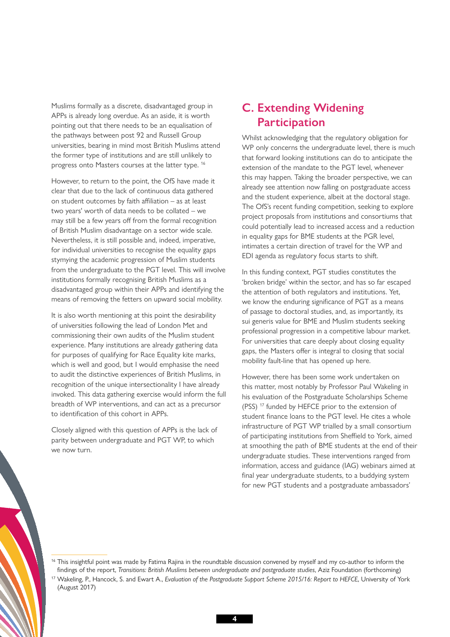Muslims formally as a discrete, disadvantaged group in APPs is already long overdue. As an aside, it is worth pointing out that there needs to be an equalisation of the pathways between post 92 and Russell Group universities, bearing in mind most British Muslims attend the former type of institutions and are still unlikely to progress onto Masters courses at the latter type. 16

However, to return to the point, the OfS have made it clear that due to the lack of continuous data gathered on student outcomes by faith affiliation – as at least two years' worth of data needs to be collated – we may still be a few years off from the formal recognition of British Muslim disadvantage on a sector wide scale. Nevertheless, it is still possible and, indeed, imperative, for individual universities to recognise the equality gaps stymying the academic progression of Muslim students from the undergraduate to the PGT level. This will involve institutions formally recognising British Muslims as a disadvantaged group within their APPs and identifying the means of removing the fetters on upward social mobility.

It is also worth mentioning at this point the desirability of universities following the lead of London Met and commissioning their own audits of the Muslim student experience. Many institutions are already gathering data for purposes of qualifying for Race Equality kite marks, which is well and good, but I would emphasise the need to audit the distinctive experiences of British Muslims, in recognition of the unique intersectionality I have already invoked. This data gathering exercise would inform the full breadth of WP interventions, and can act as a precursor to identification of this cohort in APPs.

Closely aligned with this question of APPs is the lack of parity between undergraduate and PGT WP, to which we now turn.

#### **C. Extending Widening Participation**

Whilst acknowledging that the regulatory obligation for WP only concerns the undergraduate level, there is much that forward looking institutions can do to anticipate the extension of the mandate to the PGT level, whenever this may happen. Taking the broader perspective, we can already see attention now falling on postgraduate access and the student experience, albeit at the doctoral stage. The OfS's recent funding competition, seeking to explore project proposals from institutions and consortiums that could potentially lead to increased access and a reduction in equality gaps for BME students at the PGR level, intimates a certain direction of travel for the WP and EDI agenda as regulatory focus starts to shift.

In this funding context, PGT studies constitutes the 'broken bridge' within the sector, and has so far escaped the attention of both regulators and institutions. Yet, we know the enduring significance of PGT as a means of passage to doctoral studies, and, as importantly, its sui generis value for BME and Muslim students seeking professional progression in a competitive labour market. For universities that care deeply about closing equality gaps, the Masters offer is integral to closing that social mobility fault-line that has opened up here.

However, there has been some work undertaken on this matter, most notably by Professor Paul Wakeling in his evaluation of the Postgraduate Scholarships Scheme (PSS)<sup>17</sup> funded by HEFCE prior to the extension of student finance loans to the PGT level. He cites a whole infrastructure of PGT WP trialled by a small consortium of participating institutions from Sheffield to York, aimed at smoothing the path of BME students at the end of their undergraduate studies. These interventions ranged from information, access and guidance (IAG) webinars aimed at final year undergraduate students, to a buddying system for new PGT students and a postgraduate ambassadors'

<sup>&</sup>lt;sup>16</sup> This insightful point was made by Fatima Rajina in the roundtable discussion convened by myself and my co-author to inform the findings of the report, *Transitions: British Muslims between undergraduate and postgraduate studies*, Aziz Foundation (forthcoming) <sup>17</sup> Wakeling, P., Hancock, S. and Ewart A., *Evaluation of the Postgraduate Support Scheme 2015/16: Report to HEFCE*, University of York (August 2017)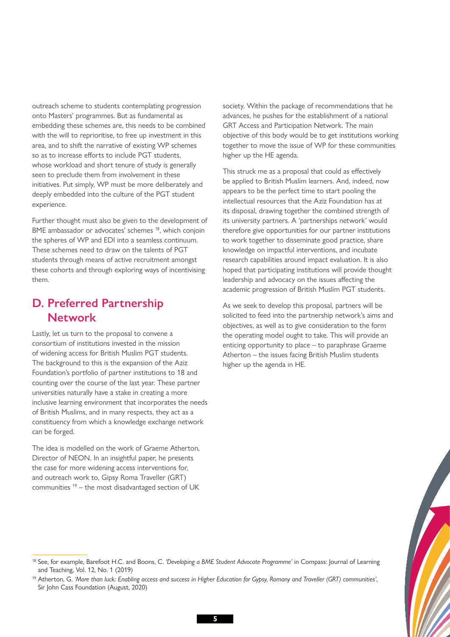outreach scheme to students contemplating progression onto Masters' programmes. But as fundamental as embedding these schemes are, this needs to be combined with the will to reprioritise, to free up investment in this area, and to shift the narrative of existing WP schemes so as to increase efforts to include PGT students, whose workload and short tenure of study is generally seen to preclude them from involvement in these initiatives. Put simply, WP must be more deliberately and deeply embedded into the culture of the PGT student experience.

Further thought must also be given to the development of BME ambassador or advocates' schemes 18, which conjoin the spheres of WP and EDI into a seamless continuum. These schemes need to draw on the talents of PGT students through means of active recruitment amongst these cohorts and through exploring ways of incentivising them.

#### **D. Preferred Partnership Network**

Lastly, let us turn to the proposal to convene a consortium of institutions invested in the mission of widening access for British Muslim PGT students. The background to this is the expansion of the Aziz Foundation's portfolio of partner institutions to 18 and counting over the course of the last year. These partner universities naturally have a stake in creating a more inclusive learning environment that incorporates the needs of British Muslims, and in many respects, they act as a constituency from which a knowledge exchange network can be forged.

The idea is modelled on the work of Graeme Atherton, Director of NEON. In an insightful paper, he presents the case for more widening access interventions for, and outreach work to, Gipsy Roma Traveller (GRT) communities  $19 -$  the most disadvantaged section of UK

society. Within the package of recommendations that he advances, he pushes for the establishment of a national GRT Access and Participation Network. The main objective of this body would be to get institutions working together to move the issue of WP for these communities higher up the HE agenda.

This struck me as a proposal that could as effectively be applied to British Muslim learners. And, indeed, now appears to be the perfect time to start pooling the intellectual resources that the Aziz Foundation has at its disposal, drawing together the combined strength of its university partners. A 'partnerships network' would therefore give opportunities for our partner institutions to work together to disseminate good practice, share knowledge on impactful interventions, and incubate research capabilities around impact evaluation. It is also hoped that participating institutions will provide thought leadership and advocacy on the issues affecting the academic progression of British Muslim PGT students.

As we seek to develop this proposal, partners will be solicited to feed into the partnership network's aims and objectives, as well as to give consideration to the form the operating model ought to take. This will provide an enticing opportunity to place – to paraphrase Graeme Atherton – the issues facing British Muslim students higher up the agenda in HE.

<sup>18</sup> See, for example, Barefoot H.C. and Boons, C. *'Developing a BME Student Advocate Programme'* in Compass: Journal of Learning and Teaching, Vol. 12, No. 1 (2019)

<sup>19</sup> Atherton, G. *'More than luck: Enabling access and success in Higher Education for Gypsy, Romany and Traveller (GRT) communities'*, Sir John Cass Foundation (August, 2020)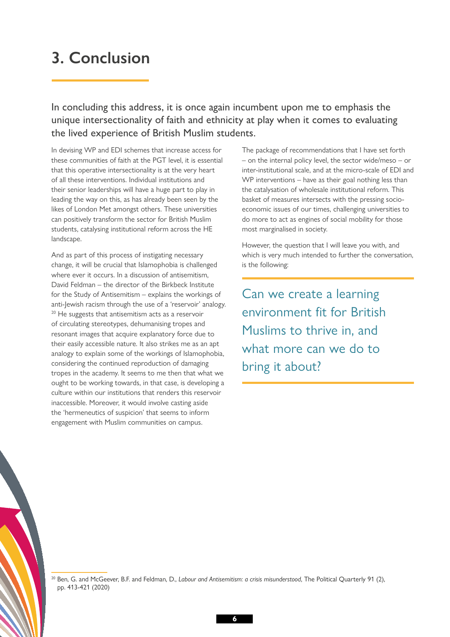### <span id="page-7-0"></span>**3. Conclusion**

In concluding this address, it is once again incumbent upon me to emphasis the unique intersectionality of faith and ethnicity at play when it comes to evaluating the lived experience of British Muslim students.

In devising WP and EDI schemes that increase access for these communities of faith at the PGT level, it is essential that this operative intersectionality is at the very heart of all these interventions. Individual institutions and their senior leaderships will have a huge part to play in leading the way on this, as has already been seen by the likes of London Met amongst others. These universities can positively transform the sector for British Muslim students, catalysing institutional reform across the HE landscape.

And as part of this process of instigating necessary change, it will be crucial that Islamophobia is challenged where ever it occurs. In a discussion of antisemitism, David Feldman – the director of the Birkbeck Institute for the Study of Antisemitism – explains the workings of anti-Jewish racism through the use of a 'reservoir' analogy. <sup>20</sup> He suggests that antisemitism acts as a reservoir of circulating stereotypes, dehumanising tropes and resonant images that acquire explanatory force due to their easily accessible nature. It also strikes me as an apt analogy to explain some of the workings of Islamophobia, considering the continued reproduction of damaging tropes in the academy. It seems to me then that what we ought to be working towards, in that case, is developing a culture within our institutions that renders this reservoir inaccessible. Moreover, it would involve casting aside the 'hermeneutics of suspicion' that seems to inform engagement with Muslim communities on campus.

The package of recommendations that I have set forth – on the internal policy level, the sector wide/meso – or inter-institutional scale, and at the micro-scale of EDI and WP interventions – have as their goal nothing less than the catalysation of wholesale institutional reform. This basket of measures intersects with the pressing socioeconomic issues of our times, challenging universities to do more to act as engines of social mobility for those most marginalised in society.

However, the question that I will leave you with, and which is very much intended to further the conversation, is the following:

Can we create a learning environment fit for British Muslims to thrive in, and what more can we do to bring it about?

<sup>20</sup> Ben, G. and McGeever, B.F. and Feldman, D., *Labour and Antisemitism: a crisis misunderstood*, The Political Quarterly 91 (2), pp. 413-421 (2020)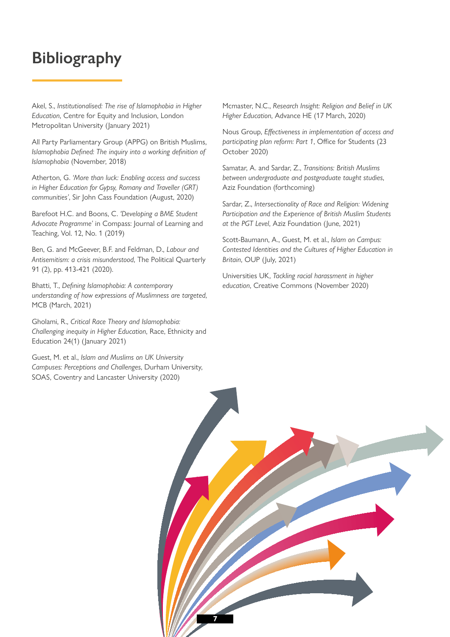### <span id="page-8-0"></span>**Bibliography**

Akel, S., *Institutionalised: The rise of Islamophobia in Higher Education*, Centre for Equity and Inclusion, London Metropolitan University (January 2021)

All Party Parliamentary Group (APPG) on British Muslims, *Islamophobia Defined: The inquiry into a working definition of Islamophobia* (November, 2018)

Atherton, G. *'More than luck: Enabling access and success in Higher Education for Gypsy, Romany and Traveller (GRT) communities'*, Sir John Cass Foundation (August, 2020)

Barefoot H.C. and Boons, C. *'Developing a BME Student Advocate Programme'* in Compass: Journal of Learning and Teaching, Vol. 12, No. 1 (2019)

Ben, G. and McGeever, B.F. and Feldman, D., *Labour and Antisemitism: a crisis misunderstood*, The Political Quarterly 91 (2), pp. 413-421 (2020).

Bhatti, T., *Defining Islamophobia: A contemporary understanding of how expressions of Muslimness are targeted*, MCB (March, 2021)

Gholami, R., *Critical Race Theory and Islamophobia: Challenging inequity in Higher Education*, Race, Ethnicity and Education 24(1) (January 2021)

Guest, M. et al., *Islam and Muslims on UK University Campuses: Perceptions and Challenges*, Durham University, SOAS, Coventry and Lancaster University (2020)

Mcmaster, N.C., *Research Insight: Religion and Belief in UK Higher Education*, Advance HE (17 March, 2020)

Nous Group, *Effectiveness in implementation of access and participating plan reform: Part 1*, Office for Students (23 October 2020)

Samatar, A. and Sardar, Z., *Transitions: British Muslims between undergraduate and postgraduate taught studies*, Aziz Foundation (forthcoming)

Sardar, Z., *Intersectionality of Race and Religion: Widening Participation and the Experience of British Muslim Students at the PGT Level*, Aziz Foundation (June, 2021)

Scott-Baumann, A., Guest, M. et al., *Islam on Campus: Contested Identities and the Cultures of Higher Education in Britain*, OUP (July, 2021)

Universities UK, *Tackling racial harassment in higher education*, Creative Commons (November 2020)